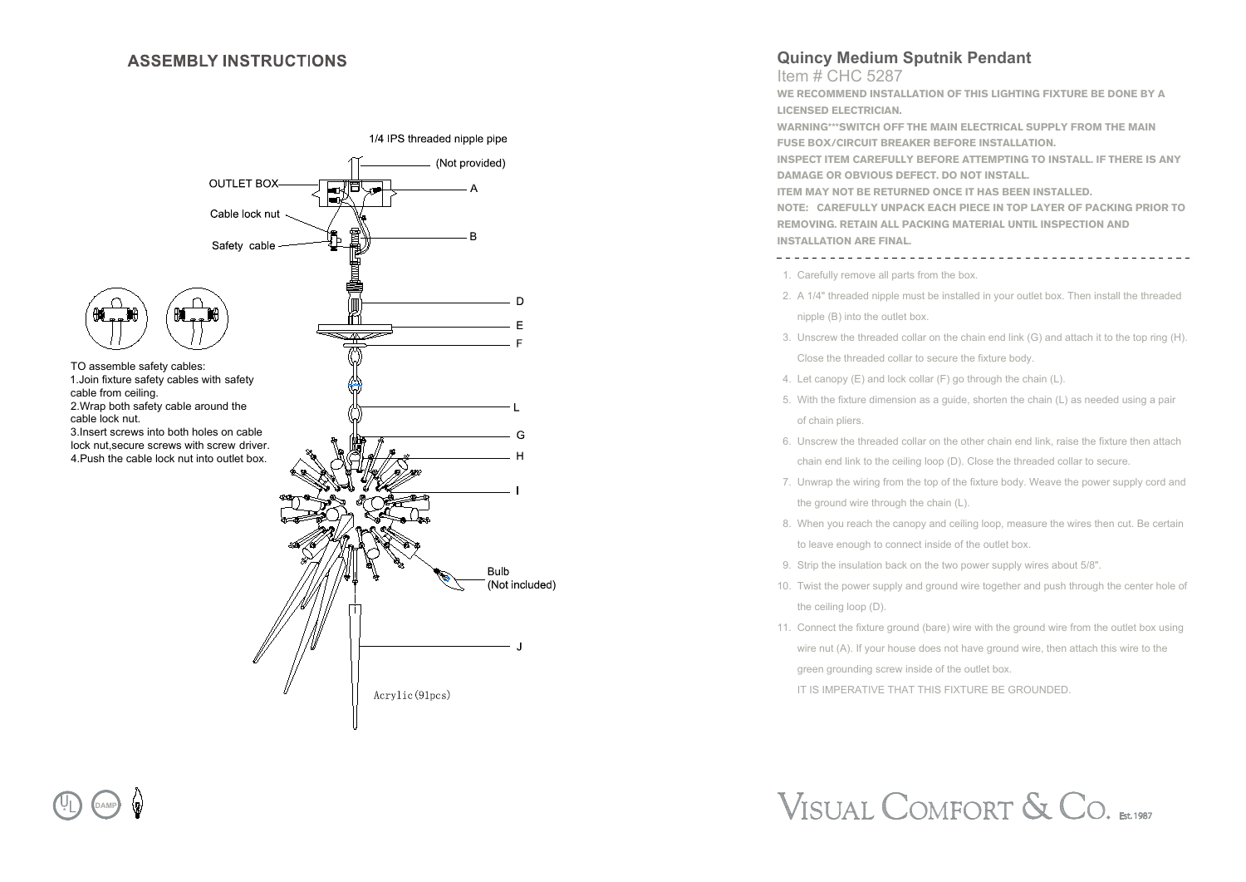#### **ASSEMBLY INSTRUCTIONS**

**DAMP**



## **Quincy Medium Sputnik Pendant**

Item # CHC 5287 **WE RECOMMEND INSTALLATION OF THIS LIGHTING FIXTURE BE DONE BY A LICENSED ELECTRICIAN. WARNING\*\*\*SWITCH OFF THE MAIN ELECTRICAL SUPPLY FROM THE MAIN FUSE BOX/CIRCUIT BREAKER BEFORE INSTALLATION.**

**INSPECT ITEM CAREFULLY BEFORE ATTEMPTING TO INSTALL. IF THERE IS ANY DAMAGE OR OBVIOUS DEFECT. DO NOT INSTALL.**

**ITEM MAY NOT BE RETURNED ONCE IT HAS BEEN INSTALLED.**

**NOTE: CAREFULLY UNPACK EACH PIECE IN TOP LAYER OF PACKING PRIOR TO REMOVING. RETAIN ALL PACKING MATERIAL UNTIL INSPECTION AND INSTALLATION ARE FINAL.** 

1. Carefully remove all parts from the box.

- 2. A 1/4" threaded nipple must be installed in your outlet box. Then install the threaded nipple (B) into the outlet box.
- 3. Unscrew the threaded collar on the chain end link (G) and attach it to the top ring (H). Close the threaded collar to secure the fixture body.
- 4. Let canopy (E) and lock collar (F) go through the chain (L).
- 5. With the fixture dimension as a guide, shorten the chain (L) as needed using a pair of chain pliers.
- 6. Unscrew the threaded collar on the other chain end link, raise the fixture then attach chain end link to the ceiling loop (D). Close the threaded collar to secure.
- 7. Unwrap the wiring from the top of the fixture body. Weave the power supply cord and the ground wire through the chain (L).
- 8. When you reach the canopy and ceiling loop, measure the wires then cut. Be certain to leave enough to connect inside of the outlet box.
- 9. Strip the insulation back on the two power supply wires about 5/8".
- 10. Twist the power supply and ground wire together and push through the center hole of the ceiling loop (D).
- 11. Connect the fixture ground (bare) wire with the ground wire from the outlet box using wire nut (A). If your house does not have ground wire, then attach this wire to the green grounding screw inside of the outlet box. IT IS IMPERATIVE THAT THIS FIXTURE BE GROUNDED.

VISUAL COMFORT & CO. ESt.1987